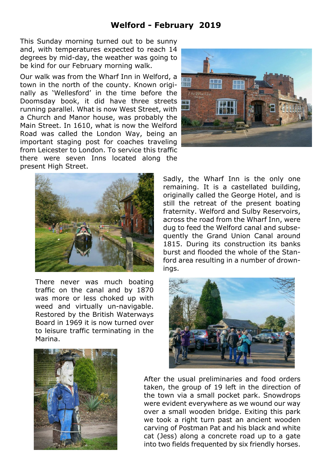## **Welford - February 2019**

This Sunday morning turned out to be sunny and, with temperatures expected to reach 14 degrees by mid-day, the weather was going to be kind for our February morning walk.

Our walk was from the Wharf Inn in Welford, a town in the north of the county. Known originally as 'Wellesford' in the time before the Doomsday book, it did have three streets running parallel. What is now West Street, with a Church and Manor house, was probably the Main Street. In 1610, what is now the Welford Road was called the London Way, being an important staging post for coaches traveling from Leicester to London. To service this traffic there were seven Inns located along the present High Street.



There never was much boating traffic on the canal and by 1870 was more or less choked up with weed and virtually un-navigable. Restored by the British Waterways Board in 1969 it is now turned over to leisure traffic terminating in the Marina.



Sadly, the Wharf Inn is the only one remaining. It is a castellated building, originally called the George Hotel, and is still the retreat of the present boating fraternity. Welford and Sulby Reservoirs, across the road from the Wharf Inn, were dug to feed the Welford canal and subsequently the Grand Union Canal around 1815. During its construction its banks burst and flooded the whole of the Stanford area resulting in a number of drownings.





After the usual preliminaries and food orders taken, the group of 19 left in the direction of the town via a small pocket park. Snowdrops were evident everywhere as we wound our way over a small wooden bridge. Exiting this park we took a right turn past an ancient wooden carving of Postman Pat and his black and white cat (Jess) along a concrete road up to a gate into two fields frequented by six friendly horses.